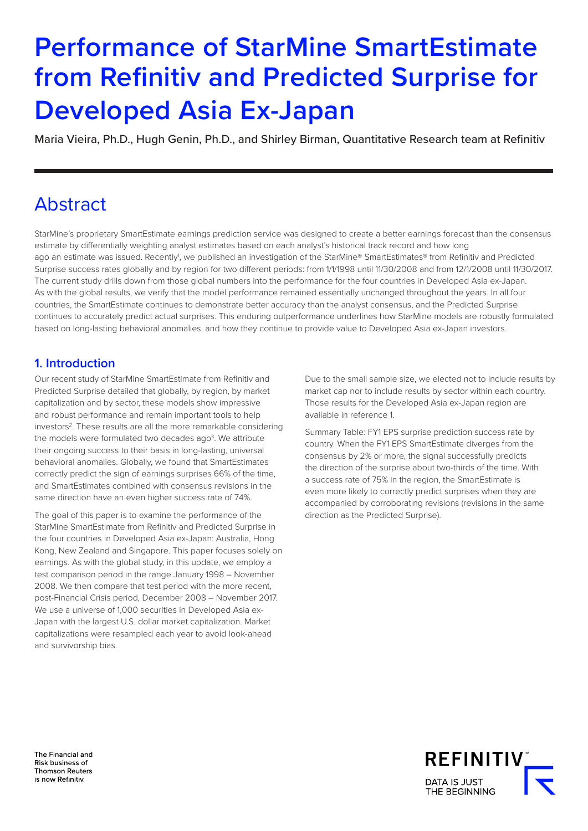# **Performance of StarMine SmartEstimate from Refinitiv and Predicted Surprise for Developed Asia Ex-Japan**

Maria Vieira, Ph.D., Hugh Genin, Ph.D., and Shirley Birman, Quantitative Research team at Refinitiv

## Abstract

StarMine's proprietary SmartEstimate earnings prediction service was designed to create a better earnings forecast than the consensus estimate by differentially weighting analyst estimates based on each analyst's historical track record and how long ago an estimate was issued. Recently<sup>i</sup>, we published an investigation of the StarMine® SmartEstimates® from Refinitiv and Predicted Surprise success rates globally and by region for two different periods: from 1/1/1998 until 11/30/2008 and from 12/1/2008 until 11/30/2017. The current study drills down from those global numbers into the performance for the four countries in Developed Asia ex-Japan. As with the global results, we verify that the model performance remained essentially unchanged throughout the years. In all four countries, the SmartEstimate continues to demonstrate better accuracy than the analyst consensus, and the Predicted Surprise continues to accurately predict actual surprises. This enduring outperformance underlines how StarMine models are robustly formulated based on long-lasting behavioral anomalies, and how they continue to provide value to Developed Asia ex-Japan investors.

## **1. Introduction**

Our recent study of StarMine SmartEstimate from Refinitiv and Predicted Surprise detailed that globally, by region, by market capitalization and by sector, these models show impressive and robust performance and remain important tools to help investors<sup>2</sup>. These results are all the more remarkable considering the models were formulated two decades ago<sup>3</sup>. We attribute their ongoing success to their basis in long-lasting, universal behavioral anomalies. Globally, we found that SmartEstimates correctly predict the sign of earnings surprises 66% of the time, and SmartEstimates combined with consensus revisions in the same direction have an even higher success rate of 74%.

The goal of this paper is to examine the performance of the StarMine SmartEstimate from Refinitiv and Predicted Surprise in the four countries in Developed Asia ex-Japan: Australia, Hong Kong, New Zealand and Singapore. This paper focuses solely on earnings. As with the global study, in this update, we employ a test comparison period in the range January 1998 – November 2008. We then compare that test period with the more recent, post-Financial Crisis period, December 2008 – November 2017. We use a universe of 1,000 securities in Developed Asia ex-Japan with the largest U.S. dollar market capitalization. Market capitalizations were resampled each year to avoid look-ahead and survivorship bias.

Due to the small sample size, we elected not to include results by market cap nor to include results by sector within each country. Those results for the Developed Asia ex-Japan region are available in reference 1.

Summary Table: FY1 EPS surprise prediction success rate by country. When the FY1 EPS SmartEstimate diverges from the consensus by 2% or more, the signal successfully predicts the direction of the surprise about two-thirds of the time. With a success rate of 75% in the region, the SmartEstimate is even more likely to correctly predict surprises when they are accompanied by corroborating revisions (revisions in the same direction as the Predicted Surprise).

The Financial and Risk business of **Thomson Reuters** is now Refinitiv.

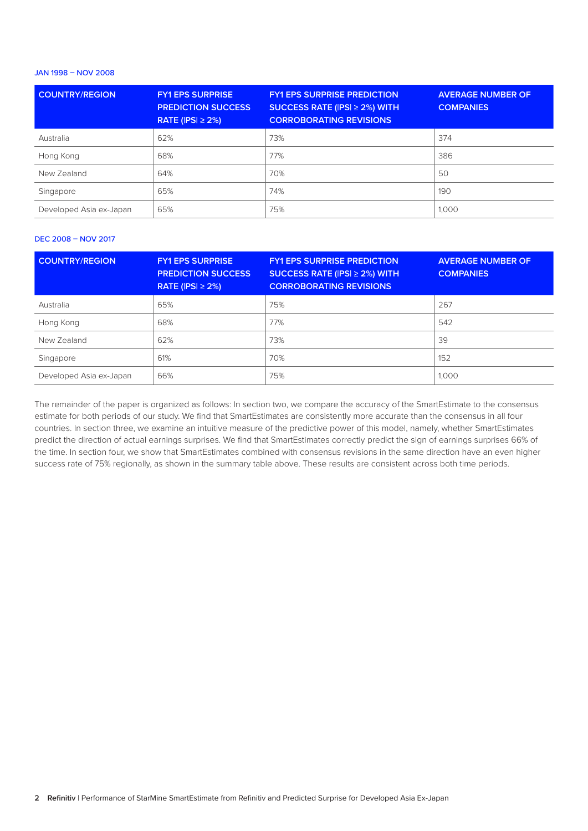## JAN 1998 – NOV 2008

| <b>COUNTRY/REGION</b>   | <b>FY1 EPS SURPRISE</b><br><b>PREDICTION SUCCESS</b><br>RATE ( $ PS  \geq 2\%$ ) | <b>FY1 EPS SURPRISE PREDICTION</b><br>SUCCESS RATE (IPSI $\geq$ 2%) WITH<br><b>CORROBORATING REVISIONS</b> | <b>AVERAGE NUMBER OF</b><br><b>COMPANIES</b> |
|-------------------------|----------------------------------------------------------------------------------|------------------------------------------------------------------------------------------------------------|----------------------------------------------|
| Australia               | 62%                                                                              | 73%                                                                                                        | 374                                          |
| Hong Kong               | 68%                                                                              | 77%                                                                                                        | 386                                          |
| New Zealand             | 64%                                                                              | 70%                                                                                                        | 50                                           |
| Singapore               | 65%                                                                              | 74%                                                                                                        | 190                                          |
| Developed Asia ex-Japan | 65%                                                                              | 75%                                                                                                        | 1,000                                        |

### DEC 2008 – NOV 2017

| <b>COUNTRY/REGION</b>   | <b>FY1 EPS SURPRISE</b><br><b>PREDICTION SUCCESS</b><br>RATE ( $ PS  \geq 2\%$ ) | <b>FY1 EPS SURPRISE PREDICTION</b><br>SUCCESS RATE (IPSI $\geq$ 2%) WITH<br><b>CORROBORATING REVISIONS</b> | <b>AVERAGE NUMBER OF</b><br><b>COMPANIES</b> |
|-------------------------|----------------------------------------------------------------------------------|------------------------------------------------------------------------------------------------------------|----------------------------------------------|
| Australia               | 65%                                                                              | 75%                                                                                                        | 267                                          |
| Hong Kong               | 68%                                                                              | 77%                                                                                                        | 542                                          |
| New Zealand             | 62%                                                                              | 73%                                                                                                        | 39                                           |
| Singapore               | 61%                                                                              | 70%                                                                                                        | 152                                          |
| Developed Asia ex-Japan | 66%                                                                              | 75%                                                                                                        | 1,000                                        |

The remainder of the paper is organized as follows: In section two, we compare the accuracy of the SmartEstimate to the consensus estimate for both periods of our study. We find that SmartEstimates are consistently more accurate than the consensus in all four countries. In section three, we examine an intuitive measure of the predictive power of this model, namely, whether SmartEstimates predict the direction of actual earnings surprises. We find that SmartEstimates correctly predict the sign of earnings surprises 66% of the time. In section four, we show that SmartEstimates combined with consensus revisions in the same direction have an even higher success rate of 75% regionally, as shown in the summary table above. These results are consistent across both time periods.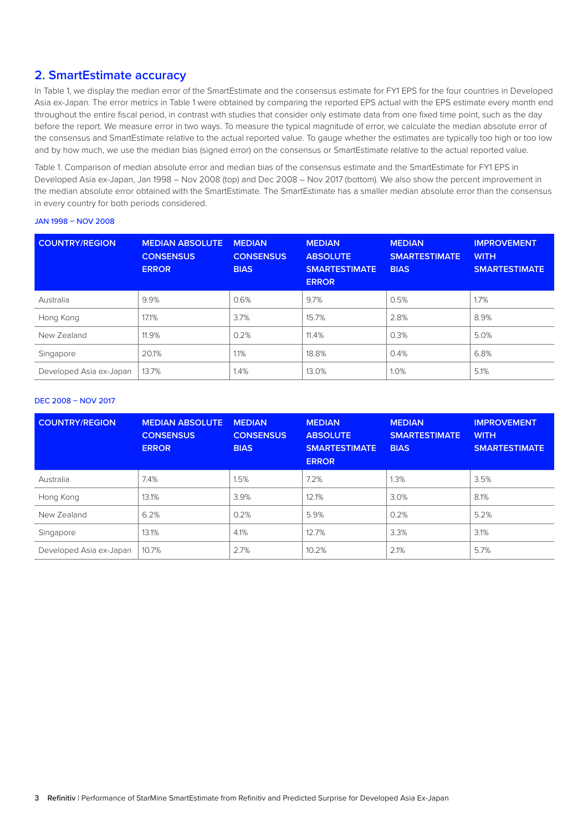## **2. SmartEstimate accuracy**

In Table 1, we display the median error of the SmartEstimate and the consensus estimate for FY1 EPS for the four countries in Developed Asia ex-Japan. The error metrics in Table 1 were obtained by comparing the reported EPS actual with the EPS estimate every month end throughout the entire fiscal period, in contrast with studies that consider only estimate data from one fixed time point, such as the day before the report. We measure error in two ways. To measure the typical magnitude of error, we calculate the median absolute error of the consensus and SmartEstimate relative to the actual reported value. To gauge whether the estimates are typically too high or too low and by how much, we use the median bias (signed error) on the consensus or SmartEstimate relative to the actual reported value.

Table 1. Comparison of median absolute error and median bias of the consensus estimate and the SmartEstimate for FY1 EPS in Developed Asia ex-Japan, Jan 1998 – Nov 2008 (top) and Dec 2008 – Nov 2017 (bottom). We also show the percent improvement in the median absolute error obtained with the SmartEstimate. The SmartEstimate has a smaller median absolute error than the consensus in every country for both periods considered.

#### JAN 1998 – NOV 2008

| <b>COUNTRY/REGION</b>   | <b>MEDIAN ABSOLUTE</b><br><b>CONSENSUS</b><br><b>ERROR</b> | <b>MEDIAN</b><br><b>CONSENSUS</b><br><b>BIAS</b> | <b>MEDIAN</b><br><b>ABSOLUTE</b><br><b>SMARTESTIMATE</b><br><b>ERROR</b> | <b>MEDIAN</b><br><b>SMARTESTIMATE</b><br><b>BIAS</b> | <b>IMPROVEMENT</b><br><b>WITH</b><br><b>SMARTESTIMATE</b> |
|-------------------------|------------------------------------------------------------|--------------------------------------------------|--------------------------------------------------------------------------|------------------------------------------------------|-----------------------------------------------------------|
| Australia               | 9.9%                                                       | 0.6%                                             | 9.7%                                                                     | 0.5%                                                 | 1.7%                                                      |
| Hong Kong               | 17.1%                                                      | 3.7%                                             | 15.7%                                                                    | 2.8%                                                 | 8.9%                                                      |
| New Zealand             | 11.9%                                                      | 0.2%                                             | 11.4%                                                                    | 0.3%                                                 | 5.0%                                                      |
| Singapore               | 20.1%                                                      | 1.1%                                             | 18.8%                                                                    | 0.4%                                                 | 6.8%                                                      |
| Developed Asia ex-Japan | 13.7%                                                      | 1.4%                                             | 13.0%                                                                    | 1.0%                                                 | 5.1%                                                      |

#### DEC 2008 – NOV 2017

| <b>COUNTRY/REGION</b>   | <b>MEDIAN ABSOLUTE</b><br><b>CONSENSUS</b><br><b>ERROR</b> | <b>MEDIAN</b><br><b>CONSENSUS</b><br><b>BIAS</b> | <b>MEDIAN</b><br><b>ABSOLUTE</b><br><b>SMARTESTIMATE</b><br><b>ERROR</b> | <b>MEDIAN</b><br><b>SMARTESTIMATE</b><br><b>BIAS</b> | <b>IMPROVEMENT</b><br><b>WITH</b><br><b>SMARTESTIMATE</b> |
|-------------------------|------------------------------------------------------------|--------------------------------------------------|--------------------------------------------------------------------------|------------------------------------------------------|-----------------------------------------------------------|
| Australia               | 7.4%                                                       | 1.5%                                             | 7.2%                                                                     | 1.3%                                                 | 3.5%                                                      |
| Hong Kong               | 13.1%                                                      | 3.9%                                             | 12.1%                                                                    | 3.0%                                                 | 8.1%                                                      |
| New Zealand             | 6.2%                                                       | 0.2%                                             | 5.9%                                                                     | 0.2%                                                 | 5.2%                                                      |
| Singapore               | 13.1%                                                      | 4.1%                                             | 12.7%                                                                    | 3.3%                                                 | 3.1%                                                      |
| Developed Asia ex-Japan | 10.7%                                                      | 2.7%                                             | 10.2%                                                                    | 2.1%                                                 | 5.7%                                                      |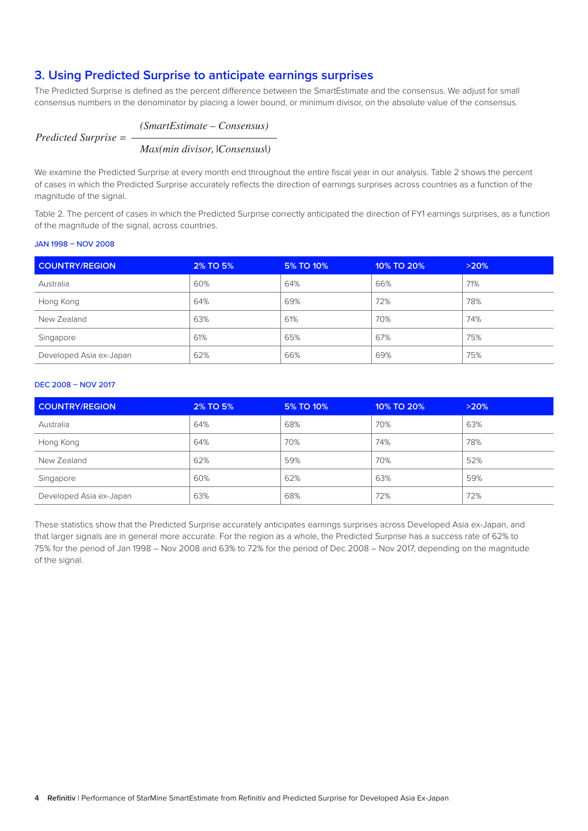## **3. Using Predicted Surprise to anticipate earnings surprises**

The Predicted Surprise is defined as the percent difference between the SmartEstimate and the consensus. We adjust for small consensus numbers in the denominator by placing a lower bound, or minimum divisor, on the absolute value of the consensus.

## *(SmartEstimate – Consensus)*

*Predicted Surprise =*

*Max(min divisor,* |*Consensus*|*)*

We examine the Predicted Surprise at every month end throughout the entire fiscal year in our analysis. Table 2 shows the percent of cases in which the Predicted Surprise accurately reflects the direction of earnings surprises across countries as a function of the magnitude of the signal.

Table 2. The percent of cases in which the Predicted Surprise correctly anticipated the direction of FY1 earnings surprises, as a function of the magnitude of the signal, across countries.

#### JAN 1998 – NOV 2008

| <b>COUNTRY/REGION</b>   | 2% TO 5% | 5% TO 10% | 10% TO 20% | >20% |
|-------------------------|----------|-----------|------------|------|
| Australia               | 60%      | 64%       | 66%        | 71%  |
| Hong Kong               | 64%      | 69%       | 72%        | 78%  |
| New Zealand             | 63%      | 61%       | 70%        | 74%  |
| Singapore               | 61%      | 65%       | 67%        | 75%  |
| Developed Asia ex-Japan | 62%      | 66%       | 69%        | 75%  |

### DEC 2008 – NOV 2017

| <b>COUNTRY/REGION</b>   | 2% TO 5% | 5% TO 10% | 10% TO 20% | >20% |
|-------------------------|----------|-----------|------------|------|
| Australia               | 64%      | 68%       | 70%        | 63%  |
| Hong Kong               | 64%      | 70%       | 74%        | 78%  |
| New Zealand             | 62%      | 59%       | 70%        | 52%  |
| Singapore               | 60%      | 62%       | 63%        | 59%  |
| Developed Asia ex-Japan | 63%      | 68%       | 72%        | 72%  |

These statistics show that the Predicted Surprise accurately anticipates earnings surprises across Developed Asia ex-Japan, and that larger signals are in general more accurate. For the region as a whole, the Predicted Surprise has a success rate of 62% to 75% for the period of Jan 1998 – Nov 2008 and 63% to 72% for the period of Dec 2008 – Nov 2017, depending on the magnitude of the signal.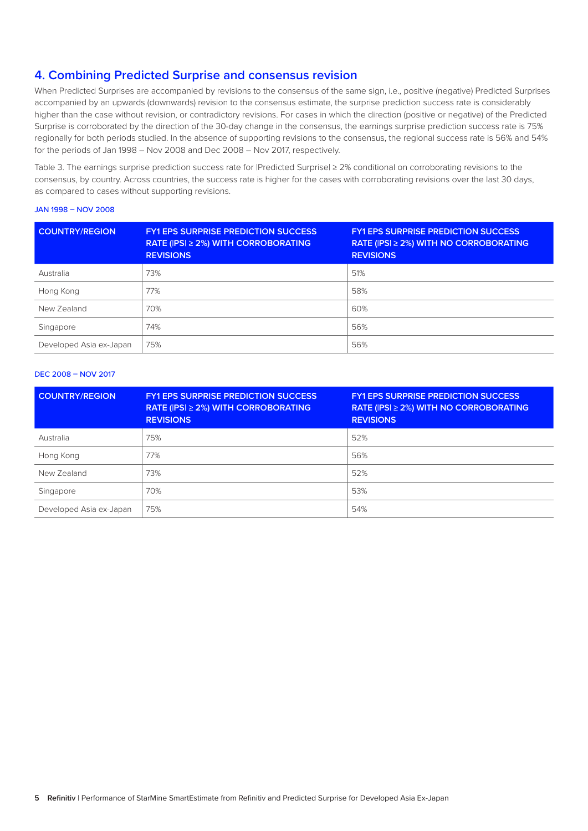## **4. Combining Predicted Surprise and consensus revision**

When Predicted Surprises are accompanied by revisions to the consensus of the same sign, i.e., positive (negative) Predicted Surprises accompanied by an upwards (downwards) revision to the consensus estimate, the surprise prediction success rate is considerably higher than the case without revision, or contradictory revisions. For cases in which the direction (positive or negative) of the Predicted Surprise is corroborated by the direction of the 30-day change in the consensus, the earnings surprise prediction success rate is 75% regionally for both periods studied. In the absence of supporting revisions to the consensus, the regional success rate is 56% and 54% for the periods of Jan 1998 – Nov 2008 and Dec 2008 – Nov 2017, respectively.

Table 3. The earnings surprise prediction success rate for |Predicted Surprise| ≥ 2% conditional on corroborating revisions to the consensus, by country. Across countries, the success rate is higher for the cases with corroborating revisions over the last 30 days, as compared to cases without supporting revisions.

#### JAN 1998 – NOV 2008

| <b>COUNTRY/REGION</b>   | <b>FY1 EPS SURPRISE PREDICTION SUCCESS</b><br><b>RATE (IPSI ≥ 2%) WITH CORROBORATING</b><br><b>REVISIONS</b> | <b>FY1 EPS SURPRISE PREDICTION SUCCESS</b><br>RATE (IPSI $\geq$ 2%) WITH NO CORROBORATING<br><b>REVISIONS</b> |
|-------------------------|--------------------------------------------------------------------------------------------------------------|---------------------------------------------------------------------------------------------------------------|
| Australia               | 73%                                                                                                          | 51%                                                                                                           |
| Hong Kong               | 77%                                                                                                          | 58%                                                                                                           |
| New Zealand             | 70%                                                                                                          | 60%                                                                                                           |
| Singapore               | 74%                                                                                                          | 56%                                                                                                           |
| Developed Asia ex-Japan | 75%                                                                                                          | 56%                                                                                                           |

## DEC 2008 – NOV 2017

| <b>COUNTRY/REGION</b>   | <b>FY1 EPS SURPRISE PREDICTION SUCCESS</b><br>RATE (IPSI ≥ 2%) WITH CORROBORATING<br><b>REVISIONS</b> | <b>FY1 EPS SURPRISE PREDICTION SUCCESS</b><br>RATE (IPSI $\geq$ 2%) WITH NO CORROBORATING<br><b>REVISIONS</b> |
|-------------------------|-------------------------------------------------------------------------------------------------------|---------------------------------------------------------------------------------------------------------------|
| Australia               | 75%                                                                                                   | 52%                                                                                                           |
| Hong Kong               | 77%                                                                                                   | 56%                                                                                                           |
| New Zealand             | 73%                                                                                                   | 52%                                                                                                           |
| Singapore               | 70%                                                                                                   | 53%                                                                                                           |
| Developed Asia ex-Japan | 75%                                                                                                   | 54%                                                                                                           |